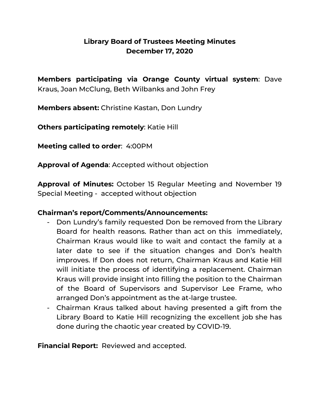# **Library Board of Trustees Meeting Minutes December 17, 2020**

**Members participating via Orange County virtual system**: Dave Kraus, Joan McClung, Beth Wilbanks and John Frey

**Members absent:** Christine Kastan, Don Lundry

**Others participating remotely**: Katie Hill

**Meeting called to order**: 4:00PM

**Approval of Agenda**: Accepted without objection

**Approval of Minutes:** October 15 Regular Meeting and November 19 Special Meeting - accepted without objection

## **Chairman's report/Comments/Announcements:**

- Don Lundry's family requested Don be removed from the Library Board for health reasons. Rather than act on this immediately, Chairman Kraus would like to wait and contact the family at a later date to see if the situation changes and Don's health improves. If Don does not return, Chairman Kraus and Katie Hill will initiate the process of identifying a replacement. Chairman Kraus will provide insight into filling the position to the Chairman of the Board of Supervisors and Supervisor Lee Frame, who arranged Don's appointment as the at-large trustee.
- Chairman Kraus talked about having presented a gift from the Library Board to Katie Hill recognizing the excellent job she has done during the chaotic year created by COVID-19.

**Financial Report:** Reviewed and accepted.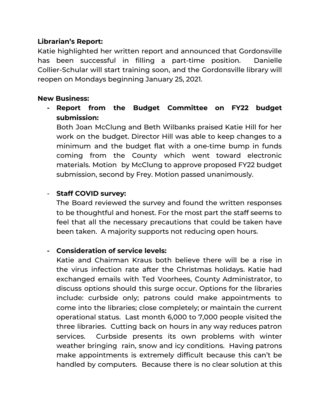## **Librarian's Report:**

Katie highlighted her written report and announced that Gordonsville has been successful in filling a part-time position. Danielle Collier-Schular will start training soon, and the Gordonsville library will reopen on Mondays beginning January 25, 2021.

#### **New Business:**

**- Report from the Budget Committee on FY22 budget submission:**

Both Joan McClung and Beth Wilbanks praised Katie Hill for her work on the budget. Director Hill was able to keep changes to a minimum and the budget flat with a one-time bump in funds coming from the County which went toward electronic materials. Motion by McClung to approve proposed FY22 budget submission, second by Frey. Motion passed unanimously.

## - **Staff COVID survey:**

The Board reviewed the survey and found the written responses to be thoughtful and honest. For the most part the staff seems to feel that all the necessary precautions that could be taken have been taken. A majority supports not reducing open hours.

## **- Consideration of service levels:**

Katie and Chairman Kraus both believe there will be a rise in the virus infection rate after the Christmas holidays. Katie had exchanged emails with Ted Voorhees, County Administrator, to discuss options should this surge occur. Options for the libraries include: curbside only; patrons could make appointments to come into the libraries; close completely; or maintain the current operational status. Last month 6,000 to 7,000 people visited the three libraries. Cutting back on hours in any way reduces patron services. Curbside presents its own problems with winter weather bringing rain, snow and icy conditions. Having patrons make appointments is extremely difficult because this can't be handled by computers. Because there is no clear solution at this